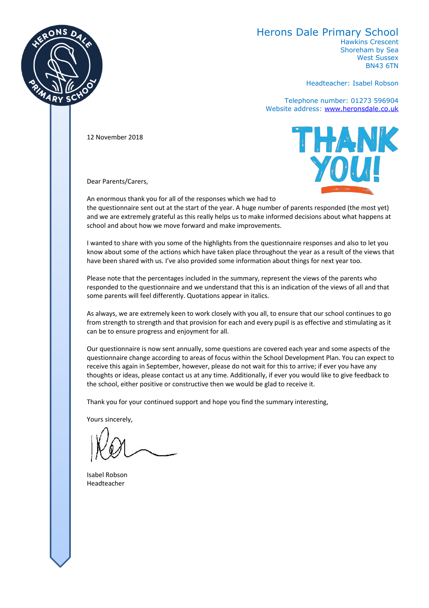## Herons Dale Primary School



Headteacher: Isabel Robson

Telephone number: 01273 596904 Website address: www.heronsdale.co.uk

12 November 2018

Dear Parents/Carers,



An enormous thank you for all of the responses which we had to the questionnaire sent out at the start of the year. A huge number of parents responded (the most yet) and we are extremely grateful as this really helps us to make informed decisions about what happens at school and about how we move forward and make improvements.

I wanted to share with you some of the highlights from the questionnaire responses and also to let you know about some of the actions which have taken place throughout the year as a result of the views that have been shared with us. I've also provided some information about things for next year too.

Please note that the percentages included in the summary, represent the views of the parents who responded to the questionnaire and we understand that this is an indication of the views of all and that some parents will feel differently. Quotations appear in italics.

As always, we are extremely keen to work closely with you all, to ensure that our school continues to go from strength to strength and that provision for each and every pupil is as effective and stimulating as it can be to ensure progress and enjoyment for all.

Our questionnaire is now sent annually, some questions are covered each year and some aspects of the questionnaire change according to areas of focus within the School Development Plan. You can expect to receive this again in September, however, please do not wait for this to arrive; if ever you have any thoughts or ideas, please contact us at any time. Additionally, if ever you would like to give feedback to the school, either positive or constructive then we would be glad to receive it.

Thank you for your continued support and hope you find the summary interesting,

Yours sincerely,

Isabel Robson Headteacher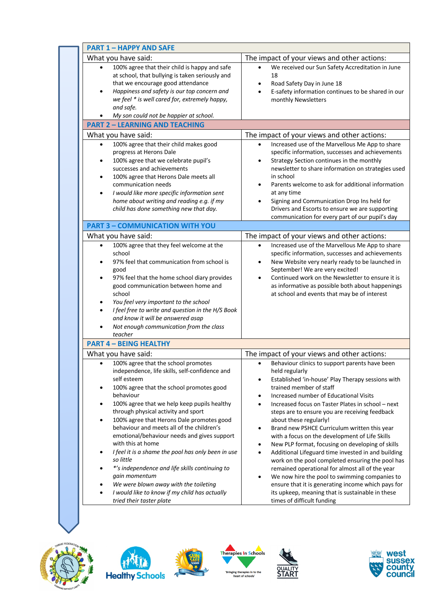| <b>PART 1 - HAPPY AND SAFE</b>                                                                                                                                                                                                                                                                                                                                                                                                                                                                                                                                                                                                                                                                                                                      |                                                                                                                                                                                                                                                                                                                                                                                                                                                                                                                                                                                                                                                                                                                                                                                                                                                                                                               |
|-----------------------------------------------------------------------------------------------------------------------------------------------------------------------------------------------------------------------------------------------------------------------------------------------------------------------------------------------------------------------------------------------------------------------------------------------------------------------------------------------------------------------------------------------------------------------------------------------------------------------------------------------------------------------------------------------------------------------------------------------------|---------------------------------------------------------------------------------------------------------------------------------------------------------------------------------------------------------------------------------------------------------------------------------------------------------------------------------------------------------------------------------------------------------------------------------------------------------------------------------------------------------------------------------------------------------------------------------------------------------------------------------------------------------------------------------------------------------------------------------------------------------------------------------------------------------------------------------------------------------------------------------------------------------------|
| What you have said:                                                                                                                                                                                                                                                                                                                                                                                                                                                                                                                                                                                                                                                                                                                                 | The impact of your views and other actions:                                                                                                                                                                                                                                                                                                                                                                                                                                                                                                                                                                                                                                                                                                                                                                                                                                                                   |
| 100% agree that their child is happy and safe<br>$\bullet$<br>at school, that bullying is taken seriously and<br>that we encourage good attendance<br>Happiness and safety is our top concern and<br>$\bullet$<br>we feel * is well cared for, extremely happy,<br>and safe.<br>My son could not be happier at school.                                                                                                                                                                                                                                                                                                                                                                                                                              | We received our Sun Safety Accreditation in June<br>$\bullet$<br>18<br>Road Safety Day in June 18<br>E-safety information continues to be shared in our<br>monthly Newsletters                                                                                                                                                                                                                                                                                                                                                                                                                                                                                                                                                                                                                                                                                                                                |
| <b>PART 2 - LEARNING AND TEACHING</b>                                                                                                                                                                                                                                                                                                                                                                                                                                                                                                                                                                                                                                                                                                               |                                                                                                                                                                                                                                                                                                                                                                                                                                                                                                                                                                                                                                                                                                                                                                                                                                                                                                               |
| What you have said:                                                                                                                                                                                                                                                                                                                                                                                                                                                                                                                                                                                                                                                                                                                                 | The impact of your views and other actions:                                                                                                                                                                                                                                                                                                                                                                                                                                                                                                                                                                                                                                                                                                                                                                                                                                                                   |
| 100% agree that their child makes good<br>$\bullet$<br>progress at Herons Dale<br>100% agree that we celebrate pupil's<br>$\bullet$<br>successes and achievements<br>100% agree that Herons Dale meets all<br>$\bullet$<br>communication needs<br>I would like more specific information sent<br>$\bullet$<br>home about writing and reading e.g. if my<br>child has done something new that day.                                                                                                                                                                                                                                                                                                                                                   | Increased use of the Marvellous Me App to share<br>$\bullet$<br>specific information, successes and achievements<br>Strategy Section continues in the monthly<br>$\bullet$<br>newsletter to share information on strategies used<br>in school<br>Parents welcome to ask for additional information<br>at any time<br>Signing and Communication Drop Ins held for<br>Drivers and Escorts to ensure we are supporting<br>communication for every part of our pupil's day                                                                                                                                                                                                                                                                                                                                                                                                                                        |
| <b>PART 3 - COMMUNICATION WITH YOU</b>                                                                                                                                                                                                                                                                                                                                                                                                                                                                                                                                                                                                                                                                                                              |                                                                                                                                                                                                                                                                                                                                                                                                                                                                                                                                                                                                                                                                                                                                                                                                                                                                                                               |
| What you have said:                                                                                                                                                                                                                                                                                                                                                                                                                                                                                                                                                                                                                                                                                                                                 | The impact of your views and other actions:                                                                                                                                                                                                                                                                                                                                                                                                                                                                                                                                                                                                                                                                                                                                                                                                                                                                   |
| 100% agree that they feel welcome at the<br>$\bullet$<br>school<br>97% feel that communication from school is<br>good<br>97% feel that the home school diary provides<br>$\bullet$<br>good communication between home and<br>school<br>You feel very important to the school<br>$\bullet$<br>I feel free to write and question in the H/S Book<br>$\bullet$<br>and know it will be answered asap<br>Not enough communication from the class<br>teacher                                                                                                                                                                                                                                                                                              | Increased use of the Marvellous Me App to share<br>$\bullet$<br>specific information, successes and achievements<br>New Website very nearly ready to be launched in<br>٠<br>September! We are very excited!<br>Continued work on the Newsletter to ensure it is<br>$\bullet$<br>as informative as possible both about happenings<br>at school and events that may be of interest                                                                                                                                                                                                                                                                                                                                                                                                                                                                                                                              |
| <b>PART 4 - BEING HEALTHY</b>                                                                                                                                                                                                                                                                                                                                                                                                                                                                                                                                                                                                                                                                                                                       |                                                                                                                                                                                                                                                                                                                                                                                                                                                                                                                                                                                                                                                                                                                                                                                                                                                                                                               |
| What you have said:                                                                                                                                                                                                                                                                                                                                                                                                                                                                                                                                                                                                                                                                                                                                 | The impact of your views and other actions:                                                                                                                                                                                                                                                                                                                                                                                                                                                                                                                                                                                                                                                                                                                                                                                                                                                                   |
| 100% agree that the school promotes<br>$\bullet$<br>independence, life skills, self-confidence and<br>self esteem<br>100% agree that the school promotes good<br>$\bullet$<br>behaviour<br>100% agree that we help keep pupils healthy<br>$\bullet$<br>through physical activity and sport<br>100% agree that Herons Dale promotes good<br>$\bullet$<br>behaviour and meets all of the children's<br>emotional/behaviour needs and gives support<br>with this at home<br>I feel it is a shame the pool has only been in use<br>$\bullet$<br>so little<br>*'s independence and life skills continuing to<br>٠<br>gain momentum<br>We were blown away with the toileting<br>I would like to know if my child has actually<br>tried their taster plate | Behaviour clinics to support parents have been<br>$\bullet$<br>held regularly<br>Established 'in-house' Play Therapy sessions with<br>$\bullet$<br>trained member of staff<br>Increased number of Educational Visits<br>Increased focus on Taster Plates in school - next<br>steps are to ensure you are receiving feedback<br>about these regularly!<br>Brand new PSHCE Curriculum written this year<br>$\bullet$<br>with a focus on the development of Life Skills<br>New PLP format, focusing on developing of skills<br>٠<br>Additional Lifeguard time invested in and building<br>$\bullet$<br>work on the pool completed ensuring the pool has<br>remained operational for almost all of the year<br>We now hire the pool to swimming companies to<br>$\bullet$<br>ensure that it is generating income which pays for<br>its upkeep, meaning that is sustainable in these<br>times of difficult funding |











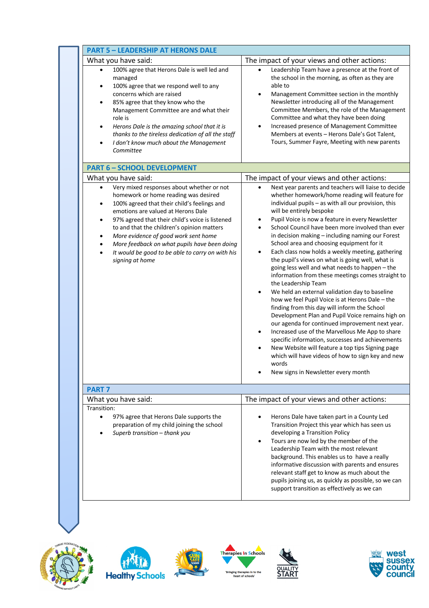| <b>PART 5 - LEADERSHIP AT HERONS DALE</b>                                                                                                                                                                                                                                                                                                                                                                                                                                                  |                                                                                                                                                                                                                                                                                                                                                                                                                                                                                                                                                                                                                                                                                                                                                                                                                                                                                                                                                                                                                                                                                                                                                                                        |
|--------------------------------------------------------------------------------------------------------------------------------------------------------------------------------------------------------------------------------------------------------------------------------------------------------------------------------------------------------------------------------------------------------------------------------------------------------------------------------------------|----------------------------------------------------------------------------------------------------------------------------------------------------------------------------------------------------------------------------------------------------------------------------------------------------------------------------------------------------------------------------------------------------------------------------------------------------------------------------------------------------------------------------------------------------------------------------------------------------------------------------------------------------------------------------------------------------------------------------------------------------------------------------------------------------------------------------------------------------------------------------------------------------------------------------------------------------------------------------------------------------------------------------------------------------------------------------------------------------------------------------------------------------------------------------------------|
| What you have said:                                                                                                                                                                                                                                                                                                                                                                                                                                                                        | The impact of your views and other actions:                                                                                                                                                                                                                                                                                                                                                                                                                                                                                                                                                                                                                                                                                                                                                                                                                                                                                                                                                                                                                                                                                                                                            |
| 100% agree that Herons Dale is well led and<br>$\bullet$<br>managed<br>100% agree that we respond well to any<br>$\bullet$<br>concerns which are raised<br>85% agree that they know who the<br>٠<br>Management Committee are and what their<br>role is<br>Herons Dale is the amazing school that it is<br>$\bullet$<br>thanks to the tireless dedication of all the staff<br>I don't know much about the Management<br>$\bullet$<br>Committee                                              | Leadership Team have a presence at the front of<br>$\bullet$<br>the school in the morning, as often as they are<br>able to<br>Management Committee section in the monthly<br>$\bullet$<br>Newsletter introducing all of the Management<br>Committee Members, the role of the Management<br>Committee and what they have been doing<br>Increased presence of Management Committee<br>$\bullet$<br>Members at events - Herons Dale's Got Talent,<br>Tours, Summer Fayre, Meeting with new parents                                                                                                                                                                                                                                                                                                                                                                                                                                                                                                                                                                                                                                                                                        |
| <b>PART 6 - SCHOOL DEVELOPMENT</b>                                                                                                                                                                                                                                                                                                                                                                                                                                                         |                                                                                                                                                                                                                                                                                                                                                                                                                                                                                                                                                                                                                                                                                                                                                                                                                                                                                                                                                                                                                                                                                                                                                                                        |
| What you have said:                                                                                                                                                                                                                                                                                                                                                                                                                                                                        | The impact of your views and other actions:                                                                                                                                                                                                                                                                                                                                                                                                                                                                                                                                                                                                                                                                                                                                                                                                                                                                                                                                                                                                                                                                                                                                            |
| Very mixed responses about whether or not<br>homework or home reading was desired<br>100% agreed that their child's feelings and<br>$\bullet$<br>emotions are valued at Herons Dale<br>97% agreed that their child's voice is listened<br>$\bullet$<br>to and that the children's opinion matters<br>More evidence of good work sent home<br>$\bullet$<br>More feedback on what pupils have been doing<br>It would be good to be able to carry on with his<br>$\bullet$<br>signing at home | Next year parents and teachers will liaise to decide<br>$\bullet$<br>whether homework/home reading will feature for<br>individual pupils - as with all our provision, this<br>will be entirely bespoke<br>Pupil Voice is now a feature in every Newsletter<br>School Council have been more involved than ever<br>in decision making - including naming our Forest<br>School area and choosing equipment for it<br>Each class now holds a weekly meeting, gathering<br>the pupil's views on what is going well, what is<br>going less well and what needs to happen - the<br>information from these meetings comes straight to<br>the Leadership Team<br>We held an external validation day to baseline<br>how we feel Pupil Voice is at Herons Dale - the<br>finding from this day will inform the School<br>Development Plan and Pupil Voice remains high on<br>our agenda for continued improvement next year.<br>Increased use of the Marvellous Me App to share<br>٠<br>specific information, successes and achievements<br>New Website will feature a top tips Signing page<br>which will have videos of how to sign key and new<br>words<br>New signs in Newsletter every month |
| <b>PART 7</b>                                                                                                                                                                                                                                                                                                                                                                                                                                                                              |                                                                                                                                                                                                                                                                                                                                                                                                                                                                                                                                                                                                                                                                                                                                                                                                                                                                                                                                                                                                                                                                                                                                                                                        |
| What you have said:<br>Transition:                                                                                                                                                                                                                                                                                                                                                                                                                                                         | The impact of your views and other actions:                                                                                                                                                                                                                                                                                                                                                                                                                                                                                                                                                                                                                                                                                                                                                                                                                                                                                                                                                                                                                                                                                                                                            |
| $\bullet$<br>97% agree that Herons Dale supports the<br>preparation of my child joining the school<br>Superb transition - thank you                                                                                                                                                                                                                                                                                                                                                        | Herons Dale have taken part in a County Led<br>Transition Project this year which has seen us<br>developing a Transition Policy<br>Tours are now led by the member of the<br>$\bullet$<br>Leadership Team with the most relevant<br>background. This enables us to have a really<br>informative discussion with parents and ensures<br>relevant staff get to know as much about the<br>pupils joining us, as quickly as possible, so we can<br>support transition as effectively as we can                                                                                                                                                                                                                                                                                                                                                                                                                                                                                                                                                                                                                                                                                             |







Į¥